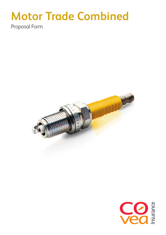# **Motor Trade Combined**

Proposal Form



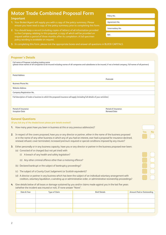## **Motor Trade Combined Proposal Form**

### **Important**

- **1.** Your Broker/Agent will supply you with a copy of the policy summary. Please ensure you have read a copy of the policy summary prior to completing this form.
- **2.** You should keep a record (including copies of letters) of all information provided to the Company relating to this proposal, a copy of which will be provided on request within a period of three months after its completion. A full specimen policy wording is available on request.
- **3.** In completing this form, please tick the appropriate boxes and answer all questions in BLOCK CAPITALS.

### **Proposer's Details**

| Full name of Proposer including trading name<br>(please show names of all companies to be insured including names of all companies and subsidiaries to be insured, if not a limited company, full names of all partners) |                                            |
|--------------------------------------------------------------------------------------------------------------------------------------------------------------------------------------------------------------------------|--------------------------------------------|
| <b>Postal Address</b>                                                                                                                                                                                                    |                                            |
|                                                                                                                                                                                                                          | Postcode                                   |
| Business Phone No.                                                                                                                                                                                                       |                                            |
| <b>Website Address</b>                                                                                                                                                                                                   |                                            |
| Company Registration No.                                                                                                                                                                                                 |                                            |
| Full description of trade or business to which the proposed insurance will apply (including full details of your activities)                                                                                             |                                            |
| Period of Insurance<br><b>Inception Date</b>                                                                                                                                                                             | Period of Insurance<br><b>Renewal Date</b> |
| <b>General Ouestions</b>                                                                                                                                                                                                 |                                            |

(If you tick any of the shaded boxes please give details overleaf)

- **1.** How many years have you been in business at this or any previous address(es)?
- **2.** In respect of the covers proposed, have you or any director or partner, either in the name of the business proposed or in the name of any other business in which any of you had an interest, ever had a proposal for insurance declined, renewal refused, cover terminated, increased premium required or special conditions imposed by any insurer?
- **3.** Either personally or in any business capacity, have you or any director or partner in the business proposed ever been:
	- (a) Convicted of or charged (but not yet tried) with
		- (i) A breach of any health and safety legislation?
		- (ii) Any other criminal offence other than a motoring offence?
	- (b) Declared bankrupt or the subject of bankruptcy proceedings?
	- (c) The subject of a County Court Judgement (or Scottish equivalent)?
	- (d) A director or partner in any business which has been the subject of an individual voluntary arrangement with creditors, voluntary liquidation, a winding up or administrative order, or administrative receivership proceedings?
- **4.** Give details below of all losses or damage sustained by you and/or claims made against you in the last five years (whether the incident was insured or not). If none answer "None".

| Date & Year | Type of Claim | <b>Brief Details</b> | Amount Paid or Outstanding |
|-------------|---------------|----------------------|----------------------------|
|             |               |                      |                            |
|             |               |                      |                            |
|             |               |                      |                            |
|             |               |                      |                            |
|             |               |                      |                            |

| <b>1reement</b> |  |
|-----------------|--|

Policy No.

Intermediary No.

Yes No

Ref.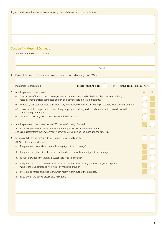|    | If you ticked any of the shaded boxes please give details below or on a separate sheet.                                                                           |            |    |
|----|-------------------------------------------------------------------------------------------------------------------------------------------------------------------|------------|----|
|    |                                                                                                                                                                   |            |    |
|    |                                                                                                                                                                   |            |    |
|    |                                                                                                                                                                   |            |    |
|    |                                                                                                                                                                   |            |    |
|    |                                                                                                                                                                   |            |    |
|    | <b>Section 1 - Material Damage</b>                                                                                                                                |            |    |
|    | 1. Address of Premises to be Insured                                                                                                                              |            |    |
|    |                                                                                                                                                                   |            |    |
|    | Postcode                                                                                                                                                          |            |    |
|    |                                                                                                                                                                   |            |    |
|    | Please state how the Premises are occupied by you (e.g. bodyshop, garage, MOTs).<br>2.                                                                            |            |    |
|    | Please tick cover required.<br><b>Motor Trade All Risks</b><br><b>Fire, Special Perils &amp; Theft</b><br><b>or</b>                                               |            |    |
|    |                                                                                                                                                                   |            |    |
|    | 3. Are the premises to be insured:<br>(a) Constructed of brick, stone, concrete, asbestos or metal and roofed with slates, tiles, concrete, asphalt,              | <b>Yes</b> | No |
|    | metal or sheets or slabs composed entirely of incombustible mineral ingredients?                                                                                  |            |    |
|    | (b) Heated by gas (but not liquid petroleum gas) electricity, oil fired central heating or securely fixed space heater unit?                                      |            |    |
|    | (c) In a good state of repair with all machinery properly fenced or guarded and maintained in accordance with<br>statutory requirements?                          |            |    |
|    | (d) Occupied solely by you in connection with the business?                                                                                                       |            |    |
|    |                                                                                                                                                                   |            |    |
|    | 4. Are the premises to be insured within 250 metres of a body of water?<br>If 'Yes' please provide full details of Environment Agency works undertaken/planned,   |            |    |
|    | enclosing a letter from the Environment Agency or SEPA outlining the plans and the timescale                                                                      |            |    |
| 5. | Do you wish to Insure for Subsidence, Ground Heave and Landslip?                                                                                                  |            |    |
|    | (If 'Yes' please state whether)                                                                                                                                   |            |    |
|    | (a) The premises have suffered or are showing signs of such damage?                                                                                               |            |    |
|    | (b) The properties either side of you have suffered or are now showing signs of this damage?                                                                      |            |    |
|    | To your knowledge the vicinity is susceptible to such damage?<br>(C)                                                                                              |            |    |
|    | (d) The premises are in the immediate vicinity of any river bank, railway embankment, cliff or quarry,<br>mine or other underground working or on made up ground? |            |    |
|    |                                                                                                                                                                   |            |    |
|    | (e) There are any trees or shrubs over 20ft in height within 30ft of the premises?                                                                                |            |    |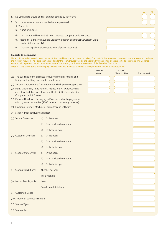- **6.** Do you wish to Insure against damage caused by Terrorism?
- **7.** Is an intruder alarm system installed at the premises? If 'Yes' state:
	- (a) Name of Installer?
	- (b) Is it maintained by an NSI/SSAIB accredited company under contract?
	- (c) Method of signalling e.g. Bells/Digicom/Redcare/Redcare GSM/Dualcom GRPS or other (please specify)
	- (d) If remote signalling please state level of police response?

### **Property to be Insured:**

Note 1. All items below with the exception of Stock and Rent can be covered on a Day One basis. If this is required please tick the box below and indicate the % uplift required. The figure then entered under the 'Sum Insured' will be the Declared Value uplifted by the specified percentage. The Declared Value should represent the full replacement cost of the property at the commencement of the Period of Insurance. **Note 2.** If any of the Sums Insured apply to more than one premises, please give the appropriate split on a separate sheet.

|     |                                                 |              |                                                                                                                                           | <b>Declared</b><br>Value | % Uplift<br>(if applicable) | Sum Insured |
|-----|-------------------------------------------------|--------------|-------------------------------------------------------------------------------------------------------------------------------------------|--------------------------|-----------------------------|-------------|
|     | fittings, outbuildings walls, gates and fences) |              | (a) The buildings of the premises (including landlords fixtures and                                                                       |                          |                             |             |
|     |                                                 |              | (b) Tenants Improvements/Decorations for which you are responsible                                                                        |                          |                             |             |
|     | <b>Computers and Software</b>                   |              | (c) Plant, Machinery, Trade Fixtures, Fittings and All Other Contents<br>except for Portable Hand Tools and Electronic Business Machines, |                          |                             |             |
|     |                                                 |              | (d) Portable Hand Tools belonging to Proposer and/or Employees for<br>which you are responsible (£500 maximum value any one tool)         |                          |                             |             |
|     |                                                 |              | (e) Electronic Business Machines, Computers and Software                                                                                  |                          |                             |             |
| (t) | Stock in Trade (excluding vehicles)             |              |                                                                                                                                           |                          |                             |             |
|     | (q) Insured's vehicles                          | $\alpha$ )   | In the open                                                                                                                               |                          |                             |             |
|     |                                                 | b)           | In an enclosed compound                                                                                                                   |                          |                             |             |
|     |                                                 | $\mathsf{C}$ | In the buildings                                                                                                                          |                          |                             |             |
|     | (h) Customer's vehicles                         | $\alpha$ )   | In the open                                                                                                                               |                          |                             |             |
|     |                                                 | b)           | In an enclosed compound                                                                                                                   |                          |                             |             |
|     |                                                 | $\mathsf{C}$ | In the buildings                                                                                                                          |                          |                             |             |
|     | (i) Stock of Motorcycles                        | $\alpha$ )   | In the open                                                                                                                               |                          |                             |             |
|     |                                                 | b)           | In an enclosed compound                                                                                                                   |                          |                             |             |
|     |                                                 | $\mathsf{C}$ | In the buildings                                                                                                                          |                          |                             |             |
|     | (j) Stock at Exhibitions:                       |              | Number per year                                                                                                                           |                          |                             |             |
|     |                                                 |              | Per exhibition                                                                                                                            |                          |                             |             |
|     | (k) Loss of Rent Payable:                       | Years        |                                                                                                                                           |                          |                             |             |
|     |                                                 |              | Sum Insured (total rent)                                                                                                                  |                          |                             |             |
| (1) | <b>Customers Goods</b>                          |              |                                                                                                                                           |                          |                             |             |
|     | (m) Stock or In car entertainment               |              |                                                                                                                                           |                          |                             |             |
|     | (n) Stock of Tyres                              |              |                                                                                                                                           |                          |                             |             |
|     | (o) Stock of Fuel                               |              |                                                                                                                                           |                          |                             |             |

| Yes No |  |
|--------|--|
|        |  |
|        |  |
|        |  |
|        |  |
|        |  |
|        |  |
|        |  |
|        |  |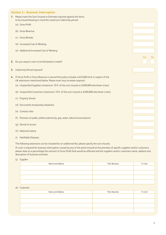### **Section 2 – Business Interruption**

- **1.** Please insert the Sum Insured or Estimate required against the items to be insured bearing in mind the maximum indemnity period:
	- (a) Gross Profit
	- (b) Gross Revenue
	- (c) Gross Rentals
	- (d) Increased Cost of Working
	- (e) Additional Increased Cost of Working
- **2.** Do you require cover to be Declaration Linked?
- **3.** Indemnity Period required?
- **4.** If Gross Profit or Gross Revenue is insured this policy includes a £25,000 limit in respect of the UK extensions mentioned below. Please insert any increases required.
	- (a) Unspecified Suppliers (maximum 10% of the sum insured or £500,000 whichever is less)
	- (b) Unspecified Customers (maximum 10% of the sum insured or £500,000 whichever is less)
	- (c) Property Stored
	- (d) Documents temporarily elsewhere
	- (e) Contract sites
	- (f) Premises of public utilities (electricity, gas, water, telecommunications)
	- (g) Denial of access
	- (h) National Lottery
	- (i) Notifiable Diseases

The following extensions can be included for an additional fee, please specify the sum insured.

If cover is required for business interruption caused by any of the perils insured at the premises of specific suppliers and/or customers, please state as a percentage the amount of Gross Profit that would be affected and the suppliers and/or customers name, address and description of business activities.

(j) Supplier

| Name and Address | <b>Their Business</b> | % Limit |
|------------------|-----------------------|---------|
|                  |                       |         |
|                  |                       |         |
|                  |                       |         |
|                  |                       |         |

(k) Customer

| Name and Address | <b>Their Business</b> | % Limit |
|------------------|-----------------------|---------|
|                  |                       |         |
|                  |                       |         |
|                  |                       |         |
|                  |                       |         |

| 'es | ľ<br>٧o |
|-----|---------|
|     |         |
|     |         |
|     |         |
|     |         |
|     |         |
|     |         |
|     |         |
|     |         |
|     |         |
|     |         |
|     |         |
|     |         |
|     |         |
|     |         |
|     |         |
|     |         |
|     |         |
|     |         |
|     |         |
|     |         |
|     |         |
|     |         |
|     |         |
|     |         |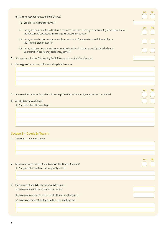|    | (n) Is cover required for loss of MOT Licence?                                                                                                                                   | <b>Yes</b> | No        |
|----|----------------------------------------------------------------------------------------------------------------------------------------------------------------------------------|------------|-----------|
|    | (i) Vehicle Testing Station Number                                                                                                                                               |            |           |
|    | Have you or any nominated testers in the last 5 years received any formal warning letters issued from<br>(ii)<br>the Vehicle and Operators Services Agency disciplinary service? | Yes        | <b>No</b> |
|    | (iii) Have you ever had, or are you currently under threat of, suspension or withdrawal of your<br><b>MOT Testing Station licence?</b>                                           |            |           |
|    | (iv) Have you or your nominated testers received any Penalty Points issued by the Vehicle and<br><b>Operators Services Agency disciplinary service?</b>                          |            |           |
|    | 5. If cover is required for Outstanding Debit Balances please state Sum Insured                                                                                                  |            |           |
|    | 6. State type of records kept of outstanding debit balances                                                                                                                      |            |           |
|    |                                                                                                                                                                                  |            |           |
|    | 7. Are records of outstanding debit balances kept in a fire resistant safe, compartment or cabinet?                                                                              | <b>Yes</b> | No.       |
|    | 8. Are duplicate records kept?                                                                                                                                                   |            |           |
|    | If 'Yes' state where they are kept:                                                                                                                                              |            |           |
|    |                                                                                                                                                                                  |            |           |
|    |                                                                                                                                                                                  |            |           |
|    | <b>Section 3 - Goods In Transit</b>                                                                                                                                              |            |           |
|    | 1. State nature of goods carried                                                                                                                                                 |            |           |
|    |                                                                                                                                                                                  |            |           |
|    |                                                                                                                                                                                  |            |           |
|    |                                                                                                                                                                                  | <b>Yes</b> | No.       |
| 2. | Do you engage in transit of goods outside the United Kingdom?                                                                                                                    |            |           |
|    | If 'Yes' give details and countries regularly visited:                                                                                                                           |            |           |
|    |                                                                                                                                                                                  |            |           |
|    | 3. For carriage of goods by your own vehicles state:                                                                                                                             |            |           |
|    | (a) Maximum sum insured required per vehicle                                                                                                                                     |            |           |
|    | (b) Maximum number of vehicles that will transport the goods                                                                                                                     |            |           |
|    | (c) Makes and types of vehicles used for carrying the goods                                                                                                                      |            |           |
|    |                                                                                                                                                                                  |            |           |
|    |                                                                                                                                                                                  |            |           |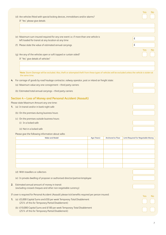|    |                                                             | (d) Are vehicles fitted with special locking devices, immobilisers and/or alarms?                                                                                    |             | Yes               | N <sub>o</sub>                      |            |           |  |
|----|-------------------------------------------------------------|----------------------------------------------------------------------------------------------------------------------------------------------------------------------|-------------|-------------------|-------------------------------------|------------|-----------|--|
|    |                                                             | If 'Yes' please give details                                                                                                                                         |             |                   |                                     |            |           |  |
|    |                                                             |                                                                                                                                                                      |             |                   |                                     |            |           |  |
|    |                                                             |                                                                                                                                                                      |             |                   |                                     |            |           |  |
|    |                                                             | (e) Maximum sum insured required for any one event i.e. if more than one vehicle is<br>left loaded for transit at any location at any time                           |             |                   | $\pmb{\mathsf{E}}$                  |            |           |  |
|    |                                                             | (f) Please state the value of estimated annual carryings                                                                                                             |             |                   | $\pmb{\mathsf{f}}$                  |            |           |  |
|    |                                                             |                                                                                                                                                                      |             |                   |                                     | <b>Yes</b> | <b>No</b> |  |
|    |                                                             | (g) Are any of the vehicles open or soft topped or curtain sided?<br>If 'Yes' give details of vehicles*                                                              |             |                   |                                     |            |           |  |
|    |                                                             |                                                                                                                                                                      |             |                   |                                     |            |           |  |
|    |                                                             |                                                                                                                                                                      |             |                   |                                     |            |           |  |
|    |                                                             | *Note: Storm Damage will be excluded. Also, theft or attempted theft from these types of vehicles will be excluded unless the vehicle is stolen at<br>the same time. |             |                   |                                     |            |           |  |
| 4. |                                                             | For carriage of goods by road haulage contractor, railway operator, post or inland air freight state:                                                                |             |                   |                                     |            |           |  |
|    |                                                             | (a) Maximum value any one consignment - third party carriers                                                                                                         |             |                   |                                     |            |           |  |
|    | (b) Estimated total annual carryings - third party carriers |                                                                                                                                                                      |             |                   |                                     |            |           |  |
|    |                                                             | Section 4 - Loss of Money and Personal Accident (Assault)                                                                                                            |             |                   |                                     |            |           |  |
|    |                                                             | Please state Maximum Amount any one time:                                                                                                                            |             |                   |                                     |            |           |  |
|    |                                                             | 1. (a) In transit and/or in bank night safe                                                                                                                          |             |                   |                                     |            |           |  |
|    |                                                             | (b) On the premises during business hours                                                                                                                            |             |                   |                                     |            |           |  |
|    |                                                             | (c) On the premises outside business hours:                                                                                                                          |             |                   |                                     |            |           |  |
|    |                                                             | (i) In a locked safe                                                                                                                                                 |             |                   |                                     |            |           |  |
|    |                                                             | (ii) Not in a locked safe                                                                                                                                            |             |                   |                                     |            |           |  |
|    |                                                             | Please give the following information about safes                                                                                                                    |             |                   |                                     |            |           |  |
|    |                                                             | Make and Model                                                                                                                                                       | Age (Years) | Anchored to Floor | Limit Required for Negotiable Money |            |           |  |
|    |                                                             |                                                                                                                                                                      |             |                   |                                     |            |           |  |
|    |                                                             |                                                                                                                                                                      |             |                   |                                     |            |           |  |
|    |                                                             |                                                                                                                                                                      |             |                   |                                     |            |           |  |
|    |                                                             |                                                                                                                                                                      |             |                   |                                     |            |           |  |
|    |                                                             |                                                                                                                                                                      |             |                   |                                     |            |           |  |
|    |                                                             | (d) With travellers or collectors                                                                                                                                    |             |                   |                                     |            |           |  |
|    |                                                             | (e) In private dwelling of proposer or authorised director/partner/employee                                                                                          |             |                   |                                     |            |           |  |
|    |                                                             | 2. Estimated annual amount of money in transit<br>(excluding crossed cheques and other non-negotiable currency)                                                      |             |                   |                                     |            |           |  |
|    |                                                             | If cover is required for Personal Accident (Assault) please tick benefits required per person insured:                                                               |             |                   |                                     |            |           |  |
|    |                                                             | 1. (a) £5,000 Capital Sums and £50 per week Temporary Total Disablement<br>(25% of this for Temporary Partial Disablement)                                           |             |                   |                                     | <b>Yes</b> | No.       |  |
|    |                                                             | (b) £10,000 Capital Sums and £100 per week Temporary Total Disablement                                                                                               |             |                   |                                     |            |           |  |
|    |                                                             | (25% of this for Temporary Partial Disablement)                                                                                                                      |             |                   |                                     |            |           |  |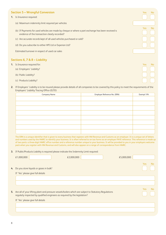### **Section 5 - Wrongful Conversion**

- **1.** Is Insurance required:
	- (a) Maximum indemnity limit required per vehicles
	- (b) If Payments for used vehicles are made by cheque or where a part exchange has been received is evidence of the transaction clearly recorded?
	- (c) Are accurate records kept of all used vehicles purchased or sold?
	- (d) Do you subscribe to either HPI Ltd or Experian Ltd?

Estimated turnover in respect of used car sales

### **Sections 6, 7 & 8 – Liability**

- **1.** Is Insurance required for:
	- (a) Employers' Liability?
	- (b) Public Liability?
	- (c) Products Liability?
- **2.** If Employers' Liability is to be insured please provide details of all companies to be covered by this policy to meet the requirements of the Employers' Liability Tracing Office (ELTO)

| <b>Company Name</b> | Employer Reference No. (ERN) | Exempt Y/N |
|---------------------|------------------------------|------------|
|                     |                              |            |
|                     |                              |            |
|                     |                              |            |
|                     |                              |            |
|                     |                              |            |
|                     |                              |            |
|                     |                              |            |
|                     |                              |            |

The ERN is a unique identifier that is given to every business that registers with HM Revenue and Customs as an employer. It is a unique set of letters and numbers used by the HMRC to identify your business. It is often referred to on tax forms as an employer PAYE reference. This reference is made up of two parts: a three-digit HMRC office number and a reference number unique to your business. It will be provided to you in your employers welcome pack when you register with HM Revenue and Customs, and will also appear on a range of correspondence from HMRC.

**3.** If Public/Products Liability is required please indicate the Indemnity Limit required:

| £1,000,000<br>£2,000,000                                                                                                                                                                                                    | £5,000,000 |                              |
|-----------------------------------------------------------------------------------------------------------------------------------------------------------------------------------------------------------------------------|------------|------------------------------|
| 4. Do you store liquids or gases in bulk?<br>If 'Yes' please give full details                                                                                                                                              |            | <b>Yes</b><br>N <sub>o</sub> |
|                                                                                                                                                                                                                             |            |                              |
| 5. Are all of your lifting plant and pressure vessels/boilers which are subject to Statutory Regulations<br>regularly inspected by qualified engineers as required by the legislation?<br>If 'Yes' please give full details |            | Yes<br>N <sub>o</sub>        |
|                                                                                                                                                                                                                             |            |                              |

| Yes | No |
|-----|----|
| Yes | No |
|     |    |
| Yes | No |

| es | ٩о |
|----|----|
|    |    |
|    |    |
|    |    |
|    |    |
|    |    |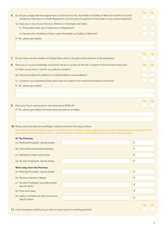| 6. |                                                                                                                                   | (a) Do you comply with the requirements of the Factories Act, the Health and Safety at Work Act and the Control of<br>Substances Hazardous to Health Regulations (and any special regulations thereunder) or any similar legislation?                                            |                          | Yes: | No. |
|----|-----------------------------------------------------------------------------------------------------------------------------------|----------------------------------------------------------------------------------------------------------------------------------------------------------------------------------------------------------------------------------------------------------------------------------|--------------------------|------|-----|
|    | (b) Have you or any of your Directors, Partners or Employees ever been:<br>(i) Prosecuted under any of these Acts or Regulations? |                                                                                                                                                                                                                                                                                  |                          |      |     |
|    | (ii) Served with a Prohibition Notice under the Health and Safety at Work Act?                                                    |                                                                                                                                                                                                                                                                                  |                          |      |     |
|    | If 'Yes' please give details                                                                                                      |                                                                                                                                                                                                                                                                                  |                          |      |     |
|    |                                                                                                                                   |                                                                                                                                                                                                                                                                                  |                          |      |     |
|    |                                                                                                                                   |                                                                                                                                                                                                                                                                                  |                          |      |     |
|    |                                                                                                                                   |                                                                                                                                                                                                                                                                                  |                          | Yes: | No  |
| 7. |                                                                                                                                   | Do you have a written Health and Safety Policy which is brought to the attention of all employees?                                                                                                                                                                               |                          |      |     |
| 8. |                                                                                                                                   | Have you or, to your knowledge, any former owner or occupier of the site in respect of the premises at any time:                                                                                                                                                                 |                          | Yes  | No  |
|    | (a) Been prosecuted or sued for any pollution problem?                                                                            |                                                                                                                                                                                                                                                                                  |                          |      |     |
|    | (b) Had any incidents of pollution, or incidents likely to cause pollution?                                                       |                                                                                                                                                                                                                                                                                  |                          |      |     |
|    | (c) Carried on any industrial activity which was the subject of an environmental permit of licence?                               |                                                                                                                                                                                                                                                                                  |                          |      |     |
|    | If 'Yes' please give details                                                                                                      |                                                                                                                                                                                                                                                                                  |                          |      |     |
|    |                                                                                                                                   |                                                                                                                                                                                                                                                                                  |                          |      |     |
|    |                                                                                                                                   |                                                                                                                                                                                                                                                                                  |                          |      |     |
|    |                                                                                                                                   |                                                                                                                                                                                                                                                                                  |                          | Yes  | No  |
| 9. | Does any of your work produce noise level above 85dB (A)?                                                                         |                                                                                                                                                                                                                                                                                  |                          |      |     |
|    | If 'Yes' please give details and state what precautions are taken                                                                 |                                                                                                                                                                                                                                                                                  |                          |      |     |
|    |                                                                                                                                   |                                                                                                                                                                                                                                                                                  |                          |      |     |
|    |                                                                                                                                   |                                                                                                                                                                                                                                                                                  |                          |      |     |
|    | 10. Please state Estimated Annual Wages, Salaries and other Earnings as below:                                                    | Note: Estimates should include all payments to Working Directors/Partners, Labour only Subcontractors, Self Employed Persons and people hired or<br>borrowed and should be stated as Gross i.e. before deductions. A minimum of £15,000 per partner or director must be applied. |                          |      |     |
|    | <b>At The Premises</b>                                                                                                            |                                                                                                                                                                                                                                                                                  |                          |      |     |
|    | (a) Working Principal(s). Specify duties:                                                                                         |                                                                                                                                                                                                                                                                                  | $\pmb{\mathsf{f}}$       |      |     |
|    | (b) Clerical/Secretarial/Administrative                                                                                           |                                                                                                                                                                                                                                                                                  | £                        |      |     |
|    |                                                                                                                                   |                                                                                                                                                                                                                                                                                  |                          |      |     |
|    | (c) Mechanics, Fitters and the like                                                                                               |                                                                                                                                                                                                                                                                                  | $\underline{\mathsf{f}}$ |      |     |
|    | (d) All other Employees. Specify duties:                                                                                          |                                                                                                                                                                                                                                                                                  | $\underline{\mathsf{f}}$ |      |     |
|    | <b>Work away from the Premises</b>                                                                                                |                                                                                                                                                                                                                                                                                  |                          |      |     |
|    | (a) Working Principal(s). Specify duties:                                                                                         |                                                                                                                                                                                                                                                                                  | £                        |      |     |
|    | (b) Recovery Operators Wages                                                                                                      |                                                                                                                                                                                                                                                                                  | $\underline{\mathsf{f}}$ |      |     |
|    | (c) All other Employees (excluding Heat).<br>Specify duties:                                                                      |                                                                                                                                                                                                                                                                                  | £                        |      |     |

- (d) Heat work away
- (e) Labour and Materials Sub Contractors. Specify duties:

**11.** Under Employers Liability do you wish to insure injuries to working partners?

Yes No

£

£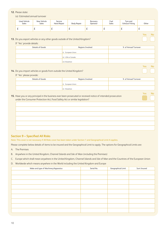### **12.** Please state:

### (a) Estimated annual turnover

| Used Vehicle<br>Sales | New Vehicle<br>Sales | Service<br><b>Hand Repair</b> | Body Repair | Recovery<br>Operator | Fuel<br>Sales | Tyre and<br><b>Exhaust Fitting</b> | Other    |
|-----------------------|----------------------|-------------------------------|-------------|----------------------|---------------|------------------------------------|----------|
| ∸                     | <u>_</u>             | <u>_</u>                      | ∸           | <u>_</u>             | <u>_</u>      | ∸                                  | <u>_</u> |

Yes No

N<sub>o</sub>

 $N<sub>0</sub>$ 

**13.** Do you export vehicles or any other goods outside of the United Kingdom?

If 'Yes' provide details:

| Regions Involved   | % of Annual Turnover |
|--------------------|----------------------|
|                    |                      |
| (i) European Union |                      |
|                    |                      |
| (ii) USA or Canada |                      |
|                    |                      |
|                    |                      |
|                    | (iii) Elsewhere      |

**14.** Do you import vehicles or goods from outside the United Kingdom?

If 'Yes' please provide:

| Details of Goods | Regions Involved   | % of Annual Turnover |
|------------------|--------------------|----------------------|
|                  | (i) European Union |                      |
|                  | (ii) Elsewhere     |                      |

### **15.** Have you or any principal in the business ever been prosecuted or received notice of intended prosecution under the Consumer Protection Act, Food Safety Act or similar legislation?

### **Section 9 – Specified All Risks**

Note: This cover is not necessary if All Risks cover has been taken under Section 1 and Geographical Limit A applies.

Please complete below details of items to be insured and the Geographical Limit to apply. The options for Geographical Limits are:

- A. The Premises
- B. Anywhere in the United Kingdom, Channel Islands and Isle of Man (including the Premises)
- C. Europe which shall mean anywhere in the United Kingdom, Channel Islands and Isle of Man and the Countries of the European Union
- D. Worldwide which means anywhere in the World including the United Kingdom and Europe

| Make and type of Machinery/Apparatus | Serial No. | Geographical Limit | Sum Insured |
|--------------------------------------|------------|--------------------|-------------|
|                                      |            |                    |             |
|                                      |            |                    |             |
|                                      |            |                    |             |
|                                      |            |                    |             |
|                                      |            |                    |             |
|                                      |            |                    |             |
|                                      |            |                    |             |
|                                      |            |                    |             |
|                                      |            |                    |             |
|                                      |            |                    |             |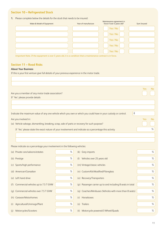### **Section 10 – Refrigerated Stock**

| Make & Model of Equipment                                                                                                                                                                                                                                                                                                                                                                                                                                                                                                                        |      | Year of manufacture                | Maintenance agreement in<br>force if over 5 years old?     | <b>Sum Insured</b>    |
|--------------------------------------------------------------------------------------------------------------------------------------------------------------------------------------------------------------------------------------------------------------------------------------------------------------------------------------------------------------------------------------------------------------------------------------------------------------------------------------------------------------------------------------------------|------|------------------------------------|------------------------------------------------------------|-----------------------|
|                                                                                                                                                                                                                                                                                                                                                                                                                                                                                                                                                  |      |                                    | Yes / No                                                   |                       |
|                                                                                                                                                                                                                                                                                                                                                                                                                                                                                                                                                  |      |                                    | Yes / No                                                   |                       |
|                                                                                                                                                                                                                                                                                                                                                                                                                                                                                                                                                  |      |                                    | Yes / No                                                   |                       |
|                                                                                                                                                                                                                                                                                                                                                                                                                                                                                                                                                  |      |                                    | Yes / No                                                   |                       |
|                                                                                                                                                                                                                                                                                                                                                                                                                                                                                                                                                  |      |                                    | Yes / No                                                   |                       |
| Important Note. If the equipment is over 5 years old, it is a condition that a maintenance contract is in force.                                                                                                                                                                                                                                                                                                                                                                                                                                 |      |                                    |                                                            |                       |
| <b>Section 11 - Road Risks</b>                                                                                                                                                                                                                                                                                                                                                                                                                                                                                                                   |      |                                    |                                                            |                       |
| <b>About Your Business</b>                                                                                                                                                                                                                                                                                                                                                                                                                                                                                                                       |      |                                    |                                                            |                       |
| If this is your first venture give full details of your previous experience in the motor trade.                                                                                                                                                                                                                                                                                                                                                                                                                                                  |      |                                    |                                                            |                       |
|                                                                                                                                                                                                                                                                                                                                                                                                                                                                                                                                                  |      |                                    |                                                            |                       |
|                                                                                                                                                                                                                                                                                                                                                                                                                                                                                                                                                  |      |                                    |                                                            | Yes<br>No.            |
| Are you a member of any motor trade association?                                                                                                                                                                                                                                                                                                                                                                                                                                                                                                 |      |                                    |                                                            |                       |
| If 'Yes' please provide details                                                                                                                                                                                                                                                                                                                                                                                                                                                                                                                  |      |                                    |                                                            |                       |
|                                                                                                                                                                                                                                                                                                                                                                                                                                                                                                                                                  |      |                                    |                                                            |                       |
|                                                                                                                                                                                                                                                                                                                                                                                                                                                                                                                                                  |      |                                    |                                                            |                       |
|                                                                                                                                                                                                                                                                                                                                                                                                                                                                                                                                                  |      |                                    | £                                                          |                       |
|                                                                                                                                                                                                                                                                                                                                                                                                                                                                                                                                                  |      |                                    |                                                            | Yes<br>N <sub>o</sub> |
|                                                                                                                                                                                                                                                                                                                                                                                                                                                                                                                                                  |      |                                    |                                                            |                       |
| If 'Yes' please state the exact nature of your involvement and indicate as a percentage this activity                                                                                                                                                                                                                                                                                                                                                                                                                                            |      |                                    |                                                            | $\%$                  |
|                                                                                                                                                                                                                                                                                                                                                                                                                                                                                                                                                  |      |                                    |                                                            |                       |
|                                                                                                                                                                                                                                                                                                                                                                                                                                                                                                                                                  |      |                                    |                                                            |                       |
|                                                                                                                                                                                                                                                                                                                                                                                                                                                                                                                                                  |      |                                    |                                                            |                       |
|                                                                                                                                                                                                                                                                                                                                                                                                                                                                                                                                                  | $\%$ | (k) Grey imports                   |                                                            | $\%$                  |
|                                                                                                                                                                                                                                                                                                                                                                                                                                                                                                                                                  | $\%$ | (I) Vehicles over 25 years old     |                                                            | $\%$                  |
|                                                                                                                                                                                                                                                                                                                                                                                                                                                                                                                                                  | $\%$ | (m) Vintage/classic vehicles       |                                                            | $\%$                  |
|                                                                                                                                                                                                                                                                                                                                                                                                                                                                                                                                                  | $\%$ | (n) Custom/Kit/Modified/Fibreglass |                                                            | $\%$                  |
|                                                                                                                                                                                                                                                                                                                                                                                                                                                                                                                                                  | $\%$ | (o) Recovery/Transporters          |                                                            | $\%$                  |
|                                                                                                                                                                                                                                                                                                                                                                                                                                                                                                                                                  | $\%$ |                                    | (p) Passenger carrier up to and including 8 seats in total | $\%$                  |
| Indicate the maximum value of any one vehicle which you own or which you could have in your custody or control.<br>Are you involved in:<br>(a) Vehicle salvage, dismantling, breaking, scrap, sale of parts or recovery for such purpose?<br>Please indicate as a percentage your involvement in the following vehicles:<br>(a) Private cars/saloons/estates<br>(b) Prestige<br>(c) Sports/high performance<br>(d) American/Canadian<br>(e) Left hand drive<br>(f) Commercial vehicles up to 7.5 T GVW<br>(g) Commercial vehicles over 7.5 T GVW | $\%$ |                                    | (q) Coaches/Minibuses (Vehicles with more than 8 seats)    | $\%$                  |
| (h) Caravan/Motorhomes                                                                                                                                                                                                                                                                                                                                                                                                                                                                                                                           | $\%$ | Horseboxes<br>(r)                  |                                                            | $\%$                  |

(j) Motorcycles/Scooters (it) Motorcycle powered/3 Wheel/Quads %

%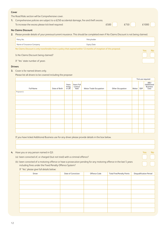| Cover |                                                                                                                                      |                    |      |      |       |
|-------|--------------------------------------------------------------------------------------------------------------------------------------|--------------------|------|------|-------|
|       | The Road Risks section will be Comprehensive cover.                                                                                  |                    |      |      |       |
|       | <b>1.</b> Comprehensive policies are subject to a £250 accidental damage, fire and theft excess.                                     |                    |      |      |       |
|       | To increase the excess please tick level required:                                                                                   |                    | £500 | £750 | £1000 |
|       | No Claims Discount                                                                                                                   |                    |      |      |       |
| 2.    | Please provide details of your previous/current insurance. This should be completed even if No Claims Discount is not being claimed. |                    |      |      |       |
|       | Policy No.                                                                                                                           | Policyholder       |      |      |       |
|       | Name of Insurance Company                                                                                                            | <b>Expiry Date</b> |      |      |       |
|       |                                                                                                                                      |                    |      |      |       |

No Claims Discount is only transferable from a policy that expired within 12 months of inception of this proposal. Yes No

Is No Claims Discount being claimed?

If 'Yes' state number of years

### **Drivers**

**3.** Cover is for named drivers only.

Please list all drivers to be covered including the proposer

|                  |               |                          |                               |                        |                  | Tick use required |     |                                               |
|------------------|---------------|--------------------------|-------------------------------|------------------------|------------------|-------------------|-----|-----------------------------------------------|
| <b>Full Name</b> | Date of Birth | Years<br>living<br>in UK | Years Full<br>Licence<br>held | Motor Trade Occupation | Other Occupation | Motor             | SDP | ABU<br>(Additional<br><b>Business</b><br>Use) |
| Proposer(s)      |               |                          |                               |                        |                  |                   |     |                                               |
|                  |               |                          |                               |                        |                  |                   |     |                                               |
|                  |               |                          |                               |                        |                  |                   |     |                                               |
|                  |               |                          |                               |                        |                  |                   |     |                                               |
|                  |               |                          |                               |                        |                  |                   |     |                                               |
|                  |               |                          |                               |                        |                  |                   |     |                                               |
|                  |               |                          |                               |                        |                  |                   |     |                                               |
|                  |               |                          |                               |                        |                  |                   |     |                                               |
|                  |               |                          |                               |                        |                  |                   |     |                                               |

If you have ticked Additional Business use for any driver please provide details in the box below.

### **4.** Have you or any person named in Q3: Yes No

- (a) been convicted of, or charged (but not tried) with a criminal offence?
- (b) been convicted of a motoring offence or have a prosecution pending for any motoring offence in the last 5 years including fines under the Fixed Penalty Offence System?

If 'Yes' please give full details below:

| <b>Driver</b> | Date of Conviction | Offence Code | <b>Total Fine/Penalty Points</b> | <b>Disqualification Period</b> |
|---------------|--------------------|--------------|----------------------------------|--------------------------------|
|               |                    |              |                                  |                                |
|               |                    |              |                                  |                                |
|               |                    |              |                                  |                                |
|               |                    |              |                                  |                                |
|               |                    |              |                                  |                                |
|               |                    |              |                                  |                                |
|               |                    |              |                                  |                                |
|               |                    |              |                                  |                                |
|               |                    |              |                                  |                                |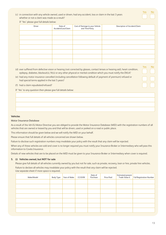### (c) in connection with any vehicle owned, used or driven, had any accident, loss or claim in the last 3 years whether or not a claim was made as a result?

If 'Yes' please give full details below:

| <b>Driver</b> | Date of<br>Accident/Loss/Claim | Cost of Damage to your Vehicle<br>and Third Party | Description of Accident/Claim |
|---------------|--------------------------------|---------------------------------------------------|-------------------------------|
|               |                                |                                                   |                               |
|               |                                |                                                   |                               |
|               |                                |                                                   |                               |
|               |                                |                                                   |                               |
|               |                                |                                                   |                               |
|               |                                |                                                   |                               |
|               |                                |                                                   |                               |

- (d) ever suffered from defective vision or hearing (not corrected by glasses, contact lenses or hearing aid), heart condition, epilepsy, diabetes, blackout(s), fit(s) or any other physical or mental condition which you must notify the DVLA?
- (e) had any motor insurance cancelled (including cancellation following default of payment of premium) refused or had special terms applied in the last 5 years?
- (f) had a claim repudiated/refused?

If 'Yes' to any question then please give full details below:

#### **Vehicles**

### Motor Insurance Database

As a result of the 4th EU Motor Directive you are obliged to provide the Motor Insurance Database (MID) with the registration numbers of all vehicles that are owned or leased by you and that will be driven, used or parked on a road or public place.

This information should be given below and we will notify the MID on your behalf.

Please ensure that full details of all vehicles concerned are shown below.

Failure to disclose such registration numbers may invalidate your policy with the result that any claim will be rejected.

When any of these vehicles are sold and cover is no longer required you must notify your Insurance Broker or Intermediary who will pass this information to Covéa Insurance.

Details of new vehicles that are to be placed on the MID must be given to your Insurance Broker or Intermediary when cover is required.

### **5. (i) Vehicles owned, but NOT for sale**

Please give full details of all vehicles currently owned by you but not for sale, such as private, recovery, loan or hire, private hire vehicles.

Failure to declare all vehicles may invalidate your policy with the result that any claim will be rejected. Use separate sheet if more space is required.

| Make/Model | Body Type | Year of Make | CC/GVW | Date of<br>Purchase | <b>Price Paid</b> | Estimated present<br>Trade Value £ | <b>Full Registration Number</b> |
|------------|-----------|--------------|--------|---------------------|-------------------|------------------------------------|---------------------------------|
|            |           |              |        |                     |                   |                                    |                                 |
|            |           |              |        |                     |                   |                                    |                                 |
|            |           |              |        |                     |                   |                                    |                                 |
|            |           |              |        |                     |                   |                                    |                                 |
|            |           |              |        |                     |                   |                                    |                                 |
|            |           |              |        |                     |                   |                                    |                                 |
|            |           |              |        |                     |                   |                                    |                                 |

Yes No

Yes No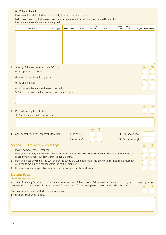### **(ii) Vehicles for sale**

Please give full details of all vehicles currently in your possession for sale.

Failure to declare all vehicles may invalidate your policy with the result that any claim will be rejected. Use separate sheet if more space is required.

|    | Make/Model                                                                                                                                                                             | Body Type | Year of Make | CC/GVW        | Date of<br>Purchase | <b>Price Paid</b> | <b>Estimated present</b><br>Trade Value £ | <b>Full Registration Number</b> |     |
|----|----------------------------------------------------------------------------------------------------------------------------------------------------------------------------------------|-----------|--------------|---------------|---------------------|-------------------|-------------------------------------------|---------------------------------|-----|
|    |                                                                                                                                                                                        |           |              |               |                     |                   |                                           |                                 |     |
|    |                                                                                                                                                                                        |           |              |               |                     |                   |                                           |                                 |     |
|    |                                                                                                                                                                                        |           |              |               |                     |                   |                                           |                                 |     |
|    |                                                                                                                                                                                        |           |              |               |                     |                   |                                           |                                 |     |
|    |                                                                                                                                                                                        |           |              |               |                     |                   |                                           |                                 |     |
|    |                                                                                                                                                                                        |           |              |               |                     |                   |                                           |                                 |     |
|    |                                                                                                                                                                                        |           |              |               |                     |                   |                                           |                                 |     |
| 6. | Are any of the vehicles listed under Q5 i or ii:<br>(a) adapted for disability?                                                                                                        |           |              |               |                     |                   |                                           | <b>Yes</b>                      | No  |
|    | (b) modified or altered in any way?                                                                                                                                                    |           |              |               |                     |                   |                                           |                                 |     |
|    | (c) left hand drive?                                                                                                                                                                   |           |              |               |                     |                   |                                           |                                 |     |
|    | (d) imported other than by the manufacturer?                                                                                                                                           |           |              |               |                     |                   |                                           |                                 |     |
|    | If 'Yes' to any question then please give full details below:                                                                                                                          |           |              |               |                     |                   |                                           |                                 |     |
|    |                                                                                                                                                                                        |           |              |               |                     |                   |                                           |                                 |     |
|    |                                                                                                                                                                                        |           |              |               |                     |                   |                                           |                                 |     |
|    |                                                                                                                                                                                        |           |              |               |                     |                   |                                           | Yes                             | No  |
|    | 7. Do you have any Trade Plates?                                                                                                                                                       |           |              |               |                     |                   |                                           |                                 |     |
|    | If 'Yes' please give trade plate numbers:                                                                                                                                              |           |              |               |                     |                   |                                           |                                 |     |
|    |                                                                                                                                                                                        |           |              |               |                     |                   |                                           |                                 |     |
|    |                                                                                                                                                                                        |           |              |               |                     |                   |                                           |                                 |     |
|    |                                                                                                                                                                                        |           |              |               | <b>No</b><br>Yes    |                   |                                           |                                 |     |
|    | 8. Are any of the vehicles used for the following:                                                                                                                                     |           |              | Loan or Hire? |                     |                   | If 'Yes', how many?                       |                                 |     |
|    |                                                                                                                                                                                        |           |              | Private Hire? |                     |                   | If 'Yes', how many?                       |                                 |     |
|    | <b>Section 12 - Essential Business Legal</b>                                                                                                                                           |           |              |               |                     |                   |                                           | Yes                             | No  |
|    | 1. Please indicate if cover is required                                                                                                                                                |           |              |               |                     |                   |                                           |                                 |     |
|    | 2. Have you issued any final written warning, placed an employee on disciplinary suspension, dismissed any employee or<br>made any employee redundant within the last 6 months?        |           |              |               |                     |                   |                                           |                                 |     |
|    | 3. Have you made any changes to your employees' terms and conditions within the last two years (including job location)                                                                |           |              |               |                     |                   |                                           |                                 |     |
|    | or intend to make such a change within the next 12 months?                                                                                                                             |           |              |               |                     |                   |                                           |                                 |     |
| 4. | Do you anticipate any possible dismissal or redundancy within the next 6 months?                                                                                                       |           |              |               |                     |                   |                                           |                                 |     |
|    | <b>Material Facts</b>                                                                                                                                                                  |           |              |               |                     |                   |                                           |                                 |     |
|    | Please complete this section.<br>A material fact is any fact which could influence the assessment of this proposal. Failure to tell us a material fact may lead to the policy being of |           |              |               |                     |                   |                                           |                                 |     |
|    | no effect. If you are in any doubt as to whether a fact is material, for your own protection you should tell us about it.                                                              |           |              |               |                     |                   |                                           | Yes:                            | No. |
|    | Are there any other material facts you should disclose?                                                                                                                                |           |              |               |                     |                   |                                           |                                 |     |
|    | If 'Yes', please give details below.                                                                                                                                                   |           |              |               |                     |                   |                                           |                                 |     |
|    |                                                                                                                                                                                        |           |              |               |                     |                   |                                           |                                 |     |
|    |                                                                                                                                                                                        |           |              |               |                     |                   |                                           |                                 |     |
|    |                                                                                                                                                                                        |           |              |               |                     |                   |                                           |                                 |     |
|    |                                                                                                                                                                                        |           |              |               |                     |                   |                                           |                                 |     |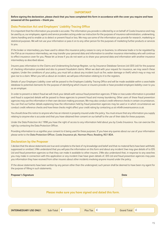### **IMPORTANT**

Before signing the declaration, please check that you have completed this form in accordance with the cover you require and have **answered all the questions – thank you.**

### **Data Protection Act and Employers' Liability Tracing Office**

It isimportant that the information you provide is accurate. The information you provide is collected by or on behalf of Covéa Insurance and may be used by us, our employees, agents and service providers acting under our instruction for the purposes of insurance administration, underwriting, claims handling and to enable us to detect or prevent fraud or loss. We may use some of the information you provide for research, marketing or statistical purposes. We will not use your information or pass it on to any other person for the purposes of marketing further products or services to you.

If the broker or intermediary you have used to obtain this insurance policy ceases to carry on business, to otherwise trade or to be regulated by the FSA as an insurance intermediary, we may transfer your personal data and information to another insurance intermediary who will continue to effect insurance cover for you. Please let us know if you do not want us to share your personal data and information with another insurance intermediary as described above.

Insurers pass information to the Claims and Underwriting Exchange Register, run by Insurance Database Services Ltd (IDS Ltd) for the purpose of checking information provided and also to prevent fraudulent claims. When we deal with your request for insurance, we may search these registers. Under the conditions of your policy, you must tell us about any incident (such as fire, water damage or theft) which may or may not give rise to a claim. When you tell us about an incident, we will pass information relating to it to the registers.

Details of your Employers Liability cover will be passed to the Employers Liability Tracing Office and will be made available within a searchable database to potential claimants for the purpose of identifying which insurer or insurers provide or have provided employers liability cover to you as an employer.

In order to prevent or detect fraud we will check your details with various fraud prevention agencies. If false or inaccurate information is provided and fraud is suspected details will be passed to these agencies to prevent fraud and money laundering. Other users of these fraud prevention agencies may use thisinformation in their own decision making processes. We may also conduct credit reference checksin certain circumstances. You can find out further details explaining how the information held by fraud prevention agencies may be used or in which circumstances we conduct credit reference checks and how these checks might affect your credit rating by contacting us at info@coveainsurance.co.uk.

You should show this notice to anyone who has an interest in property insured under the policy. You must ensure that any information you supply relating to anyone else is accurate and that you have obtained their consent on our behalf to the use of their data for these purposes.

Under the Data Protection Act 1998 you have the right of access to any information held about you by Covéa Insurance. You can exercise this right by contacting the Data Protection Officer.

Providing information to us signifies your consent to it being used for these purposes. If you have any queries about our use of your information please write to the Data Protection Officer, Covéa Insurance plc, Norman Place, Reading, RG1 8DA.

### **Declaration by the Proposer**

I declare that the above statements are true and complete to the best of my knowledge and belief and that no material facts have been withheld, suppressed or omitted. I/We understand that you will pass the information on this form and about any incident I/we may give details of to IDS Ltd and fraud prevention agencies so that they can make it available to other insurers. I/We also understand that, in response to any searches you may make in connection with this application or any incident I/we have given details of, IDS Ltd and fraud prevention agencies may pass you information they have received from other insurers about other incidents involving anyone insured under the policy.

If the above statements have been written by any person other than the undersigned, such person shall be deemed to have been my agent for the purpose of filling in such statements.

| <b>Proposer's Signature</b>   | <b>Date</b>                                                |
|-------------------------------|------------------------------------------------------------|
|                               |                                                            |
|                               |                                                            |
|                               | Please make sure you have signed and dated this form.      |
|                               |                                                            |
| <b>INTERMEDIARY USE ONLY:</b> | £<br>£<br>£<br><b>Grand Total</b><br>Sub-Total<br>Plus Tax |